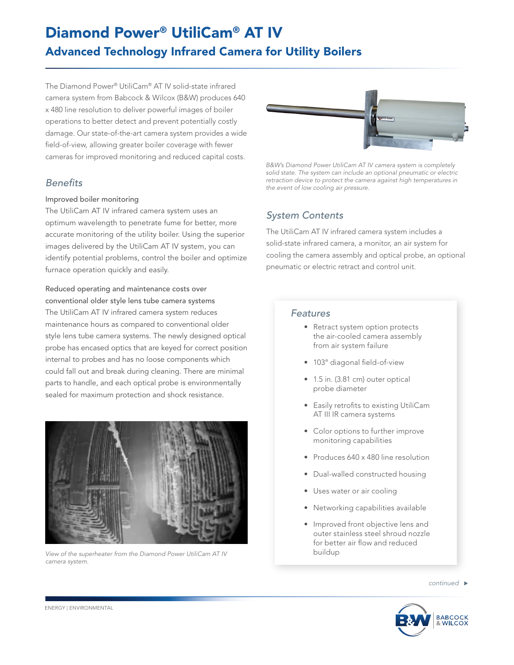# Diamond Power® UtiliCam® AT IV Advanced Technology Infrared Camera for Utility Boilers

The Diamond Power® UtiliCam® AT IV solid-state infrared camera system from Babcock & Wilcox (B&W) produces 640 x 480 line resolution to deliver powerful images of boiler operations to better detect and prevent potentially costly damage. Our state-of-the-art camera system provides a wide field-of-view, allowing greater boiler coverage with fewer cameras for improved monitoring and reduced capital costs.

## *Benefits*

#### Improved boiler monitoring

The UtiliCam AT IV infrared camera system uses an optimum wavelength to penetrate fume for better, more accurate monitoring of the utility boiler. Using the superior images delivered by the UtiliCam AT IV system, you can identify potential problems, control the boiler and optimize furnace operation quickly and easily.

#### Reduced operating and maintenance costs over

conventional older style lens tube camera systems The UtiliCam AT IV infrared camera system reduces maintenance hours as compared to conventional older style lens tube camera systems. The newly designed optical probe has encased optics that are keyed for correct position internal to probes and has no loose components which could fall out and break during cleaning. There are minimal parts to handle, and each optical probe is environmentally sealed for maximum protection and shock resistance.



*View of the superheater from the Diamond Power UtiliCam AT IV camera system.*



*B&W's Diamond Power UtiliCam AT IV camera system is completely solid state. The system can include an optional pneumatic or electric retraction device to protect the camera against high temperatures in the event of low cooling air pressure.*

## *System Contents*

The UtiliCam AT IV infrared camera system includes a solid-state infrared camera, a monitor, an air system for cooling the camera assembly and optical probe, an optional pneumatic or electric retract and control unit.

### *Features*

- Retract system option protects the air-cooled camera assembly from air system failure
- 103° diagonal field-of-view
- 1.5 in. (3.81 cm) outer optical probe diameter
- Easily retrofits to existing UtiliCam AT III IR camera systems
- Color options to further improve monitoring capabilities
- Produces 640 x 480 line resolution
- Dual-walled constructed housing
- Uses water or air cooling
- Networking capabilities available
- Improved front objective lens and outer stainless steel shroud nozzle for better air flow and reduced buildup



ENERGY | ENVIRONMENTAL